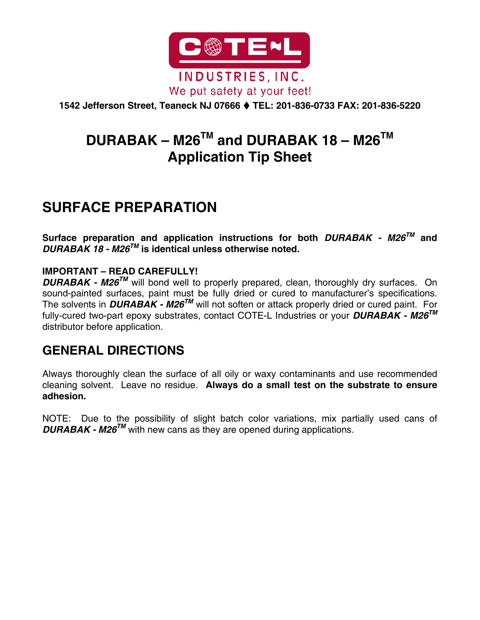

**1542 Jefferson Street, Teaneck NJ 07666 TEL: 201-836-0733 FAX: 201-836-5220** 

# **DURABAK – M26TM and DURABAK 18 – M26TM Application Tip Sheet**

# **SURFACE PREPARATION**

**Surface preparation and application instructions for both** *DURABAK - M26TM* **and**  *DURABAK 18 - M26TM* **is identical unless otherwise noted.** 

#### **IMPORTANT – READ CAREFULLY!**

*DURABAK - M26<sup>™</sup>* will bond well to properly prepared, clean, thoroughly dry surfaces. On sound-painted surfaces, paint must be fully dried or cured to manufacturer's specifications. The solvents in *DURABAK - M26TM* will not soften or attack properly dried or cured paint. For fully-cured two-part epoxy substrates, contact COTE-L Industries or your *DURABAK - M26TM* distributor before application.

### **GENERAL DIRECTIONS**

Always thoroughly clean the surface of all oily or waxy contaminants and use recommended cleaning solvent. Leave no residue. **Always do a small test on the substrate to ensure adhesion.** 

NOTE: Due to the possibility of slight batch color variations, mix partially used cans of **DURABAK - M26<sup>TM</sup>** with new cans as they are opened during applications.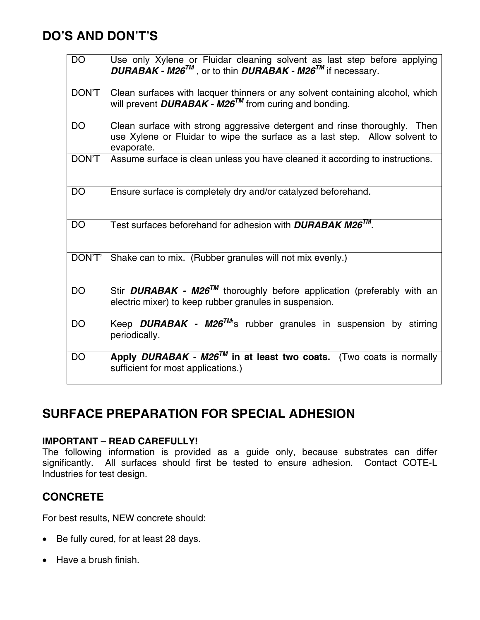### **DO'S AND DON'T'S**

| <b>DO</b>    | Use only Xylene or Fluidar cleaning solvent as last step before applying<br>$DURABAK - M26^{TM}$ , or to thin $DURABAK - M26^{TM}$ if necessary.                      |  |  |  |
|--------------|-----------------------------------------------------------------------------------------------------------------------------------------------------------------------|--|--|--|
| DON'T        | Clean surfaces with lacquer thinners or any solvent containing alcohol, which<br>will prevent <b>DURABAK</b> - $M26^{TM}$ from curing and bonding.                    |  |  |  |
| DO           | Clean surface with strong aggressive detergent and rinse thoroughly. Then<br>use Xylene or Fluidar to wipe the surface as a last step. Allow solvent to<br>evaporate. |  |  |  |
| <b>DON'T</b> | Assume surface is clean unless you have cleaned it according to instructions.                                                                                         |  |  |  |
| DO           | Ensure surface is completely dry and/or catalyzed beforehand.                                                                                                         |  |  |  |
| DO           | Test surfaces beforehand for adhesion with <b>DURABAK M26<sup>TM</sup></b> .                                                                                          |  |  |  |
| DON'T'       | Shake can to mix. (Rubber granules will not mix evenly.)                                                                                                              |  |  |  |
| <b>DO</b>    | Stir <b>DURABAK - M26<sup>TM</sup></b> thoroughly before application (preferably with an<br>electric mixer) to keep rubber granules in suspension.                    |  |  |  |
| <b>DO</b>    | Keep <b>DURABAK</b> - $M26^{TM}$ 's rubber granules in suspension by stirring<br>periodically.                                                                        |  |  |  |
| DO           | Apply DURABAK - $M26^{TM}$ in at least two coats. (Two coats is normally<br>sufficient for most applications.)                                                        |  |  |  |

# **SURFACE PREPARATION FOR SPECIAL ADHESION**

#### **IMPORTANT – READ CAREFULLY!**

The following information is provided as a guide only, because substrates can differ significantly. All surfaces should first be tested to ensure adhesion. Contact COTE-L Industries for test design.

### **CONCRETE**

For best results, NEW concrete should:

- Be fully cured, for at least 28 days.
- Have a brush finish.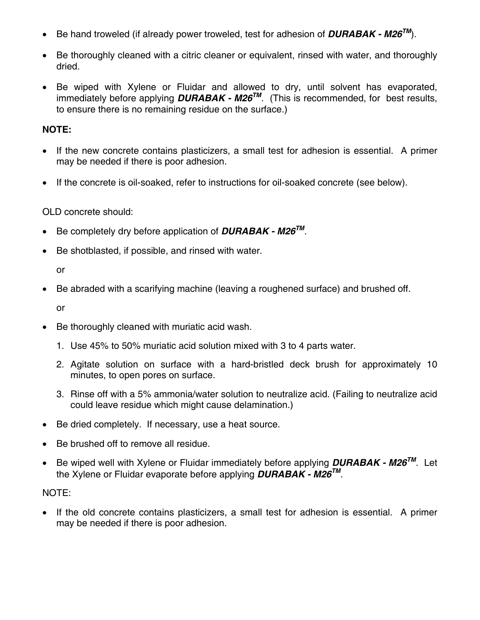- Be hand troweled (if already power troweled, test for adhesion of *DURABAK M26TM*).
- Be thoroughly cleaned with a citric cleaner or equivalent, rinsed with water, and thoroughly dried.
- Be wiped with Xylene or Fluidar and allowed to dry, until solvent has evaporated, immediately before applying *DURABAK - M26TM*. (This is recommended, for best results, to ensure there is no remaining residue on the surface.)

#### **NOTE:**

- If the new concrete contains plasticizers, a small test for adhesion is essential. A primer may be needed if there is poor adhesion.
- If the concrete is oil-soaked, refer to instructions for oil-soaked concrete (see below).

#### OLD concrete should:

- Be completely dry before application of *DURABAK M26TM*.
- Be shotblasted, if possible, and rinsed with water.

or

• Be abraded with a scarifying machine (leaving a roughened surface) and brushed off.

or

- Be thoroughly cleaned with muriatic acid wash.
	- 1. Use 45% to 50% muriatic acid solution mixed with 3 to 4 parts water.
	- 2. Agitate solution on surface with a hard-bristled deck brush for approximately 10 minutes, to open pores on surface.
	- 3. Rinse off with a 5% ammonia/water solution to neutralize acid. (Failing to neutralize acid could leave residue which might cause delamination.)
- Be dried completely. If necessary, use a heat source.
- Be brushed off to remove all residue.
- Be wiped well with Xylene or Fluidar immediately before applying *DURABAK M26TM*. Let the Xylene or Fluidar evaporate before applying *DURABAK - M26TM*.

#### NOTE:

• If the old concrete contains plasticizers, a small test for adhesion is essential. A primer may be needed if there is poor adhesion.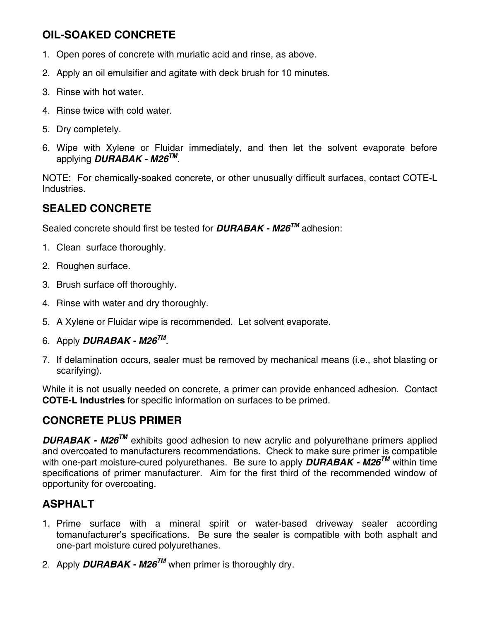### **OIL-SOAKED CONCRETE**

- 1. Open pores of concrete with muriatic acid and rinse, as above.
- 2. Apply an oil emulsifier and agitate with deck brush for 10 minutes.
- 3. Rinse with hot water.
- 4. Rinse twice with cold water.
- 5. Dry completely.
- 6. Wipe with Xylene or Fluidar immediately, and then let the solvent evaporate before applying *DURABAK - M26TM*.

NOTE: For chemically-soaked concrete, or other unusually difficult surfaces, contact COTE-L Industries.

#### **SEALED CONCRETE**

Sealed concrete should first be tested for *DURABAK - M26TM* adhesion:

- 1. Clean surface thoroughly.
- 2. Roughen surface.
- 3. Brush surface off thoroughly.
- 4. Rinse with water and dry thoroughly.
- 5. A Xylene or Fluidar wipe is recommended. Let solvent evaporate.
- 6. Apply *DURABAK M26TM*.
- 7. If delamination occurs, sealer must be removed by mechanical means (i.e., shot blasting or scarifying).

While it is not usually needed on concrete, a primer can provide enhanced adhesion. Contact **COTE-L Industries** for specific information on surfaces to be primed.

#### **CONCRETE PLUS PRIMER**

**DURABAK - M26<sup>™</sup> exhibits good adhesion to new acrylic and polyurethane primers applied** and overcoated to manufacturers recommendations. Check to make sure primer is compatible with one-part moisture-cured polyurethanes. Be sure to apply *DURABAK - M26TM* within time specifications of primer manufacturer. Aim for the first third of the recommended window of opportunity for overcoating.

### **ASPHALT**

- 1. Prime surface with a mineral spirit or water-based driveway sealer according tomanufacturer's specifications. Be sure the sealer is compatible with both asphalt and one-part moisture cured polyurethanes.
- 2. Apply **DURABAK M26<sup>TM</sup>** when primer is thoroughly dry.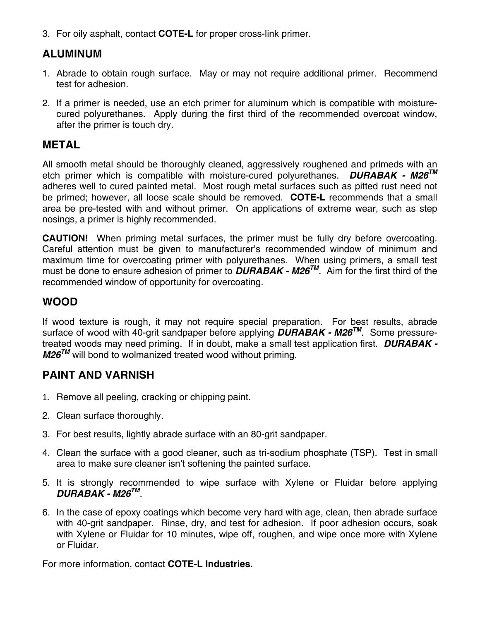3. For oily asphalt, contact **COTE-L** for proper cross-link primer.

#### **ALUMINUM**

- 1. Abrade to obtain rough surface. May or may not require additional primer. Recommend test for adhesion.
- 2. If a primer is needed, use an etch primer for aluminum which is compatible with moisturecured polyurethanes. Apply during the first third of the recommended overcoat window, after the primer is touch dry.

#### **METAL**

All smooth metal should be thoroughly cleaned, aggressively roughened and primeds with an etch primer which is compatible with moisture-cured polyurethanes. *DURABAK - M26TM* adheres well to cured painted metal. Most rough metal surfaces such as pitted rust need not be primed; however, all loose scale should be removed. **COTE-L** recommends that a small area be pre-tested with and without primer. On applications of extreme wear, such as step nosings, a primer is highly recommended.

**CAUTION!** When priming metal surfaces, the primer must be fully dry before overcoating. Careful attention must be given to manufacturer's recommended window of minimum and maximum time for overcoating primer with polyurethanes. When using primers, a small test must be done to ensure adhesion of primer to *DURABAK - M26TM*. Aim for the first third of the recommended window of opportunity for overcoating.

### **WOOD**

If wood texture is rough, it may not require special preparation. For best results, abrade surface of wood with 40-grit sandpaper before applying *DURABAK - M26TM*. Some pressuretreated woods may need priming. If in doubt, make a small test application first. *DURABAK - M26<sup>™</sup>* will bond to wolmanized treated wood without priming.

#### **PAINT AND VARNISH**

- 1. Remove all peeling, cracking or chipping paint.
- 2. Clean surface thoroughly.
- 3. For best results, lightly abrade surface with an 80-grit sandpaper.
- 4. Clean the surface with a good cleaner, such as tri-sodium phosphate (TSP). Test in small area to make sure cleaner isn't softening the painted surface.
- 5. It is strongly recommended to wipe surface with Xylene or Fluidar before applying *DURABAK - M26TM*.
- 6. In the case of epoxy coatings which become very hard with age, clean, then abrade surface with 40-grit sandpaper. Rinse, dry, and test for adhesion. If poor adhesion occurs, soak with Xylene or Fluidar for 10 minutes, wipe off, roughen, and wipe once more with Xylene or Fluidar.

For more information, contact **COTE-L Industries.**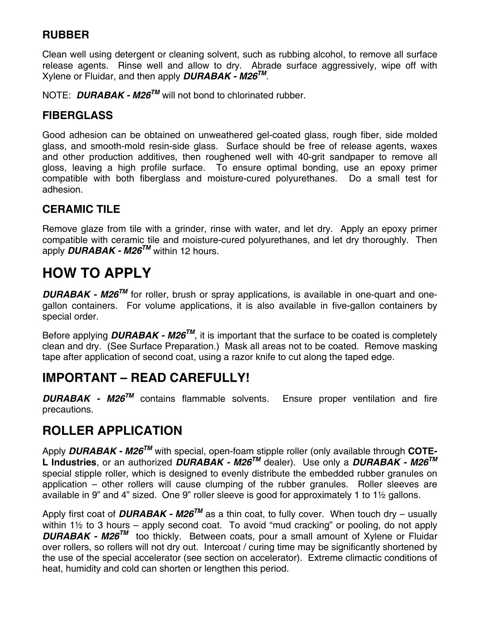### **RUBBER**

Clean well using detergent or cleaning solvent, such as rubbing alcohol, to remove all surface release agents. Rinse well and allow to dry. Abrade surface aggressively, wipe off with Xylene or Fluidar, and then apply *DURABAK - M26TM*.

NOTE: **DURABAK - M26<sup>™</sup> will not bond to chlorinated rubber.** 

### **FIBERGLASS**

Good adhesion can be obtained on unweathered gel-coated glass, rough fiber, side molded glass, and smooth-mold resin-side glass. Surface should be free of release agents, waxes and other production additives, then roughened well with 40-grit sandpaper to remove all gloss, leaving a high profile surface. To ensure optimal bonding, use an epoxy primer compatible with both fiberglass and moisture-cured polyurethanes. Do a small test for adhesion.

### **CERAMIC TILE**

Remove glaze from tile with a grinder, rinse with water, and let dry. Apply an epoxy primer compatible with ceramic tile and moisture-cured polyurethanes, and let dry thoroughly. Then apply *DURABAK - M26TM* within 12 hours.

# **HOW TO APPLY**

*DURABAK - M26TM* for roller, brush or spray applications, is available in one-quart and onegallon containers. For volume applications, it is also available in five-gallon containers by special order.

Before applying **DURABAK - M26<sup>TM</sup>**, it is important that the surface to be coated is completely clean and dry. (See Surface Preparation.) Mask all areas not to be coated. Remove masking tape after application of second coat, using a razor knife to cut along the taped edge.

# **IMPORTANT – READ CAREFULLY!**

*DURABAK - M26TM* contains flammable solvents. Ensure proper ventilation and fire precautions.

### **ROLLER APPLICATION**

Apply *DURABAK - M26TM* with special, open-foam stipple roller (only available through **COTE-L Industries**, or an authorized *DURABAK - M26TM* dealer). Use only a *DURABAK - M26TM* special stipple roller, which is designed to evenly distribute the embedded rubber granules on application – other rollers will cause clumping of the rubber granules. Roller sleeves are available in 9" and 4" sized. One 9" roller sleeve is good for approximately 1 to 1½ gallons.

Apply first coat of **DURABAK - M26<sup>TM</sup>** as a thin coat, to fully cover. When touch dry – usually within 1½ to 3 hours – apply second coat. To avoid "mud cracking" or pooling, do not apply **DURABAK - M26<sup>™</sup> too thickly. Between coats, pour a small amount of Xylene or Fluidar** over rollers, so rollers will not dry out. Intercoat / curing time may be significantly shortened by the use of the special accelerator (see section on accelerator). Extreme climactic conditions of heat, humidity and cold can shorten or lengthen this period.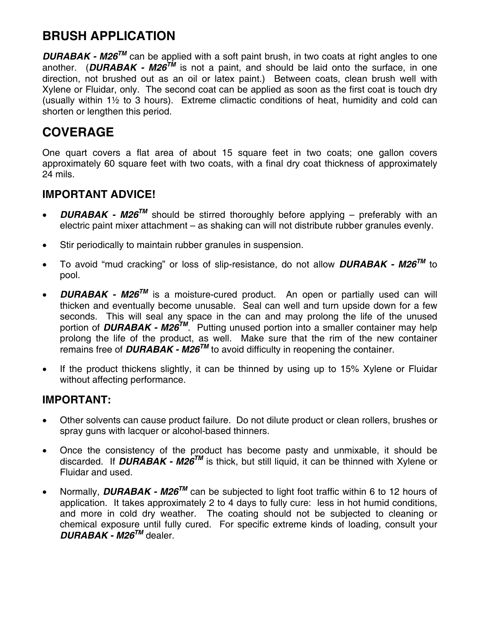# **BRUSH APPLICATION**

**DURABAK - M26<sup>™</sup> can be applied with a soft paint brush, in two coats at right angles to one** another. (**DURABAK - M26<sup>TM</sup>** is not a paint, and should be laid onto the surface, in one direction, not brushed out as an oil or latex paint.) Between coats, clean brush well with Xylene or Fluidar, only. The second coat can be applied as soon as the first coat is touch dry (usually within  $1\frac{1}{2}$  to 3 hours). Extreme climactic conditions of heat, humidity and cold can shorten or lengthen this period.

## **COVERAGE**

One quart covers a flat area of about 15 square feet in two coats; one gallon covers approximately 60 square feet with two coats, with a final dry coat thickness of approximately 24 mils.

#### **IMPORTANT ADVICE!**

- *DURABAK M26TM* should be stirred thoroughly before applying preferably with an electric paint mixer attachment – as shaking can will not distribute rubber granules evenly.
- Stir periodically to maintain rubber granules in suspension.
- To avoid "mud cracking" or loss of slip-resistance, do not allow *DURABAK M26TM* to pool.
- **DURABAK M26<sup>TM</sup>** is a moisture-cured product. An open or partially used can will thicken and eventually become unusable. Seal can well and turn upside down for a few seconds. This will seal any space in the can and may prolong the life of the unused portion of **DURABAK - M26<sup>TM</sup>**. Putting unused portion into a smaller container may help prolong the life of the product, as well. Make sure that the rim of the new container remains free of *DURABAK - M26TM* to avoid difficulty in reopening the container.
- If the product thickens slightly, it can be thinned by using up to 15% Xylene or Fluidar without affecting performance.

#### **IMPORTANT:**

- Other solvents can cause product failure. Do not dilute product or clean rollers, brushes or spray guns with lacquer or alcohol-based thinners.
- Once the consistency of the product has become pasty and unmixable, it should be discarded. If **DURABAK - M26<sup>TM</sup>** is thick, but still liquid, it can be thinned with Xylene or Fluidar and used.
- Normally, **DURABAK M26<sup>™</sup>** can be subjected to light foot traffic within 6 to 12 hours of application. It takes approximately 2 to 4 days to fully cure: less in hot humid conditions, and more in cold dry weather. The coating should not be subjected to cleaning or chemical exposure until fully cured. For specific extreme kinds of loading, consult your *DURABAK - M26TM* dealer.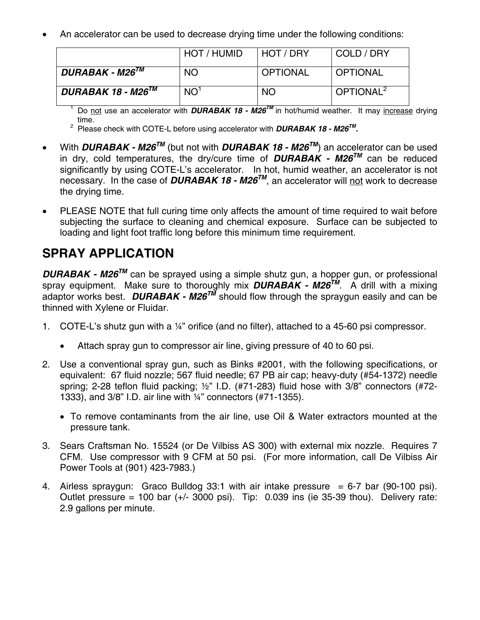• An accelerator can be used to decrease drying time under the following conditions:

|                          | HOT / HUMID     | HOT / DRY       | COLD / DRY            |
|--------------------------|-----------------|-----------------|-----------------------|
| $DURABAK$ - $M26^{TM}$   | <b>NO</b>       | <b>OPTIONAL</b> | <b>OPTIONAL</b>       |
| DURABAK 18 - M26 $^{TM}$ | NO <sup>1</sup> | <b>NO</b>       | OPTIONAL <sup>2</sup> |

1 Do not use an accelerator with *DURABAK 18 - M26TM* in hot/humid weather. It may increase drying time.

2 Please check with COTE-L before using accelerator with *DURABAK 18 - M26TM.*

- With *DURABAK M26TM* (but not with *DURABAK 18 M26TM*) an accelerator can be used in dry, cold temperatures, the dry/cure time of  $DURABAK - M26^{TM}$  can be reduced significantly by using COTE-L's accelerator. In hot, humid weather, an accelerator is not necessary. In the case of *DURABAK 18 - M26TM*, an accelerator will not work to decrease the drying time.
- PLEASE NOTE that full curing time only affects the amount of time required to wait before subjecting the surface to cleaning and chemical exposure. Surface can be subjected to loading and light foot traffic long before this minimum time requirement.

### **SPRAY APPLICATION**

*DURABAK - M26<sup>™</sup>* can be sprayed using a simple shutz gun, a hopper gun, or professional spray equipment. Make sure to thoroughly mix *DURABAK - M26TM*. A drill with a mixing adaptor works best. *DURABAK - M26TM* should flow through the spraygun easily and can be thinned with Xylene or Fluidar.

- 1. COTE-L's shutz gun with a ¼" orifice (and no filter), attached to a 45-60 psi compressor.
	- Attach spray gun to compressor air line, giving pressure of 40 to 60 psi.
- 2. Use a conventional spray gun, such as Binks #2001, with the following specifications, or equivalent: 67 fluid nozzle; 567 fluid needle; 67 PB air cap; heavy-duty (#54-1372) needle spring; 2-28 teflon fluid packing; ½" I.D. (#71-283) fluid hose with 3/8" connectors (#72- 1333), and 3/8" I.D. air line with ¼" connectors (#71-1355).
	- To remove contaminants from the air line, use Oil & Water extractors mounted at the pressure tank.
- 3. Sears Craftsman No. 15524 (or De Vilbiss AS 300) with external mix nozzle. Requires 7 CFM. Use compressor with 9 CFM at 50 psi. (For more information, call De Vilbiss Air Power Tools at (901) 423-7983.)
- 4. Airless spraygun: Graco Bulldog 33:1 with air intake pressure  $= 6-7$  bar (90-100 psi). Outlet pressure = 100 bar  $(+/- 3000 \text{ psi})$ . Tip: 0.039 ins (ie 35-39 thou). Delivery rate: 2.9 gallons per minute.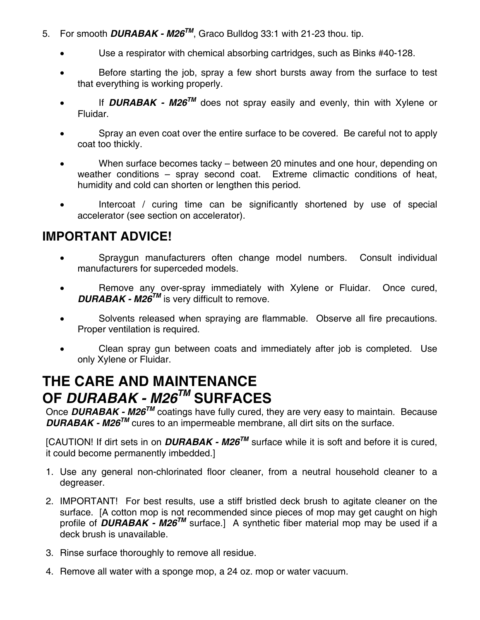- 5. For smooth **DURABAK M26<sup>TM</sup>**, Graco Bulldog 33:1 with 21-23 thou. tip.
	- Use a respirator with chemical absorbing cartridges, such as Binks #40-128.
	- Before starting the job, spray a few short bursts away from the surface to test that everything is working properly.
	- If **DURABAK M26<sup>TM</sup>** does not spray easily and evenly, thin with Xylene or Fluidar.
	- Spray an even coat over the entire surface to be covered. Be careful not to apply coat too thickly.
	- When surface becomes tacky between 20 minutes and one hour, depending on weather conditions – spray second coat. Extreme climactic conditions of heat, humidity and cold can shorten or lengthen this period.
	- Intercoat / curing time can be significantly shortened by use of special accelerator (see section on accelerator).

### **IMPORTANT ADVICE!**

- Spraygun manufacturers often change model numbers. Consult individual manufacturers for superceded models.
- Remove any over-spray immediately with Xylene or Fluidar. Once cured, *DURABAK - M26<sup>™</sup> is very difficult to remove.*
- Solvents released when spraying are flammable. Observe all fire precautions. Proper ventilation is required.
- Clean spray gun between coats and immediately after job is completed. Use only Xylene or Fluidar.

# **THE CARE AND MAINTENANCE OF** *DURABAK - M26TM* **SURFACES**

Once *DURABAK - M26TM* coatings have fully cured, they are very easy to maintain. Because *DURABAK - M26<sup>™</sup> cures to an impermeable membrane, all dirt sits on the surface.* 

[CAUTION! If dirt sets in on *DURABAK - M26TM* surface while it is soft and before it is cured, it could become permanently imbedded.]

- 1. Use any general non-chlorinated floor cleaner, from a neutral household cleaner to a degreaser.
- 2. IMPORTANT! For best results, use a stiff bristled deck brush to agitate cleaner on the surface. [A cotton mop is not recommended since pieces of mop may get caught on high profile of **DURABAK** - **M26<sup>TM</sup>** surface.] A synthetic fiber material mop may be used if a deck brush is unavailable.
- 3. Rinse surface thoroughly to remove all residue.
- 4. Remove all water with a sponge mop, a 24 oz. mop or water vacuum.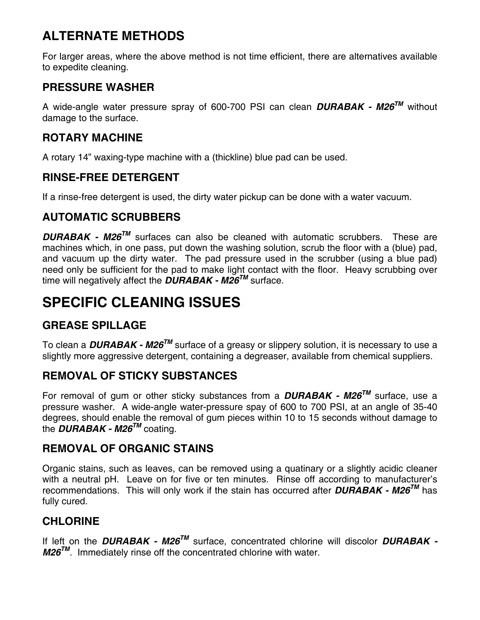# **ALTERNATE METHODS**

For larger areas, where the above method is not time efficient, there are alternatives available to expedite cleaning.

### **PRESSURE WASHER**

A wide-angle water pressure spray of 600-700 PSI can clean *DURABAK - M26TM* without damage to the surface.

### **ROTARY MACHINE**

A rotary 14" waxing-type machine with a (thickline) blue pad can be used.

### **RINSE-FREE DETERGENT**

If a rinse-free detergent is used, the dirty water pickup can be done with a water vacuum.

### **AUTOMATIC SCRUBBERS**

*DURABAK - M26TM* surfaces can also be cleaned with automatic scrubbers. These are machines which, in one pass, put down the washing solution, scrub the floor with a (blue) pad, and vacuum up the dirty water. The pad pressure used in the scrubber (using a blue pad) need only be sufficient for the pad to make light contact with the floor. Heavy scrubbing over time will negatively affect the *DURABAK - M26TM* surface.

# **SPECIFIC CLEANING ISSUES**

### **GREASE SPILLAGE**

To clean a *DURABAK - M26TM* surface of a greasy or slippery solution, it is necessary to use a slightly more aggressive detergent, containing a degreaser, available from chemical suppliers.

### **REMOVAL OF STICKY SUBSTANCES**

For removal of gum or other sticky substances from a *DURABAK - M26TM* surface, use a pressure washer. A wide-angle water-pressure spay of 600 to 700 PSI, at an angle of 35-40 degrees, should enable the removal of gum pieces within 10 to 15 seconds without damage to the *DURABAK - M26<sup>TM</sup>* coating.

### **REMOVAL OF ORGANIC STAINS**

Organic stains, such as leaves, can be removed using a quatinary or a slightly acidic cleaner with a neutral pH. Leave on for five or ten minutes. Rinse off according to manufacturer's recommendations. This will only work if the stain has occurred after *DURABAK - M26TM* has fully cured.

### **CHLORINE**

If left on the *DURABAK - M26TM* surface, concentrated chlorine will discolor *DURABAK - M26<sup>™</sup>.* Immediately rinse off the concentrated chlorine with water.